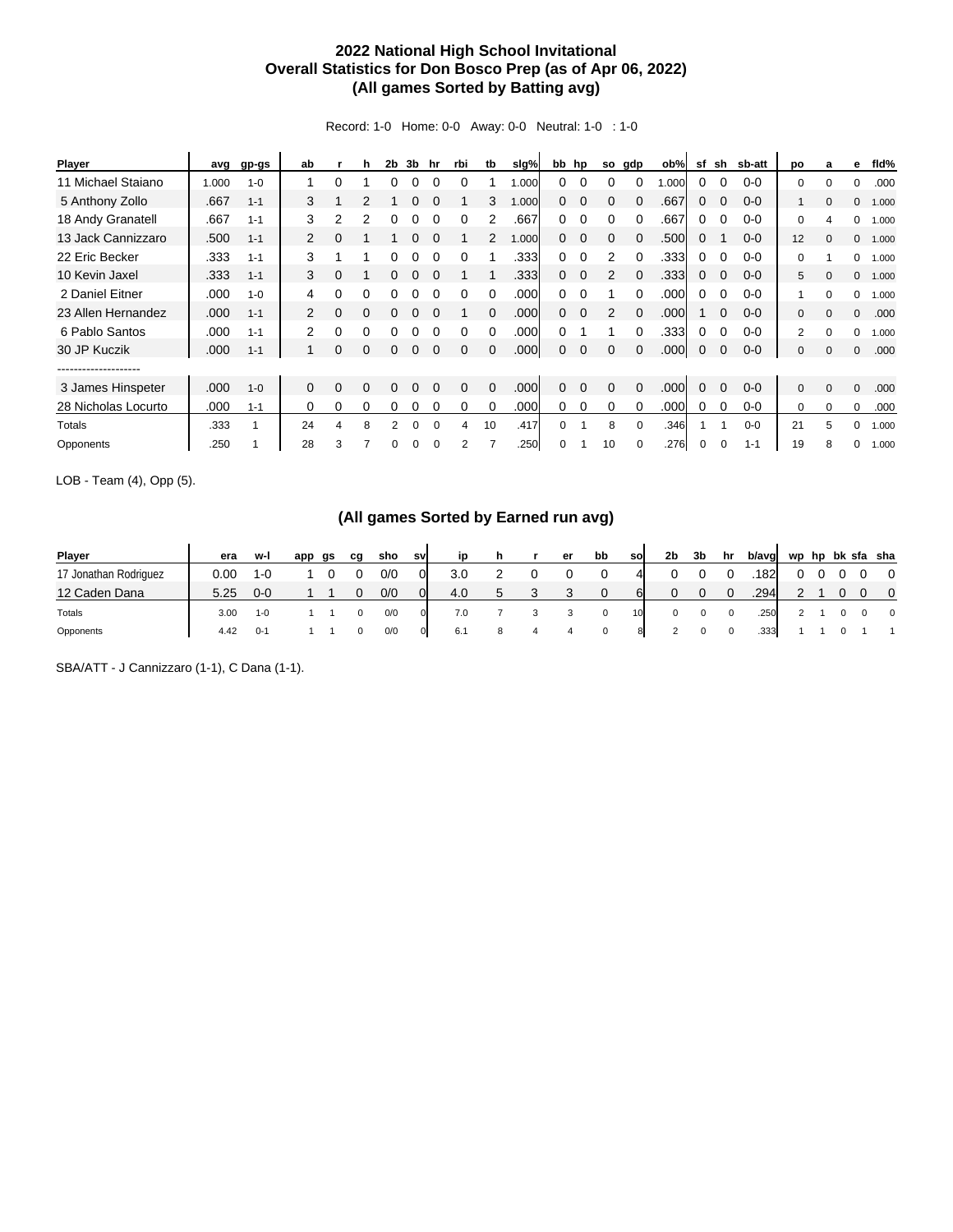## **2022 National High School Invitational Overall Statistics for Don Bosco Prep (as of Apr 06, 2022) (All games Sorted by Batting avg)**

Record: 1-0 Home: 0-0 Away: 0-0 Neutral: 1-0 : 1-0

| <b>Player</b>       | avg   | gp-gs   | ab       |          | h            | 2b | 3b | hr       | rbi      | tb       | slg%  |          | bb hp    | so       | gdp      | ob%  | sf | sh       | sb-att  | po           | a        | е            | fld%  |
|---------------------|-------|---------|----------|----------|--------------|----|----|----------|----------|----------|-------|----------|----------|----------|----------|------|----|----------|---------|--------------|----------|--------------|-------|
| 11 Michael Staiano  | 1.000 | $1 - 0$ |          | 0        |              | 0  |    |          |          |          | 1.000 | 0        |          |          | 0        | .000 | 0  |          | $0-0$   | 0            | 0        | $\Omega$     | .000  |
| 5 Anthony Zollo     | .667  | $1 - 1$ | 3        |          | 2            |    |    |          |          | 3        | 000.1 | 0        | 0        | 0        | 0        | .667 | 0  |          | $0 - 0$ |              | $\Omega$ | $\mathbf{0}$ | 1.000 |
| 18 Andy Granatell   | .667  | $1 - 1$ | 3        | 2        | 2            |    |    |          | 0        |          | .667  | 0        | $\Omega$ | 0        | $\Omega$ | .667 | 0  |          | $0 - 0$ | $\mathbf 0$  |          | $\Omega$     | 1.000 |
| 13 Jack Cannizzaro  | .500  | $1 - 1$ | 2        |          |              |    |    |          |          |          | 1.000 | 0        | $\Omega$ | 0        | $\Omega$ | .500 | 0  |          | $0 - 0$ | 12           | $\Omega$ | $\mathbf{0}$ | 1.000 |
| 22 Eric Becker      | .333  | $1 - 1$ | 3        |          |              |    |    |          |          |          | .333  | 0        | $\Omega$ | 2        | $\Omega$ | .333 | 0  |          | $0 - 0$ | $\mathbf 0$  |          | 0            | 1.000 |
| 10 Kevin Jaxel      | .333  | $1 - 1$ | 3        | 0        |              |    |    |          |          |          | .333  | 0        | $\Omega$ | 2        |          | .333 | 0  |          | $0 - 0$ | 5            | $\Omega$ | $\mathbf{0}$ | 1.000 |
| 2 Daniel Eitner     | .000  | $1 - 0$ | 4        | 0        | 0            |    |    |          |          |          | .000  | 0        |          |          | $\Omega$ | .000 | 0  |          | $0 - 0$ |              | O        | 0            | 1.000 |
| 23 Allen Hernandez  | .000  | $1 - 1$ | 2        | $\Omega$ | $\Omega$     | 0  | 0  | 0        |          | $\Omega$ | .000  | 0        | $\Omega$ | 2        | $\Omega$ | .000 |    | $\Omega$ | $0 - 0$ | $\mathbf{0}$ | $\Omega$ | $\Omega$     | .000  |
| 6 Pablo Santos      | .000  | $1 - 1$ | 2        | 0        |              |    |    |          |          |          | .000  | 0        |          |          |          | .333 | 0  |          | $0 - 0$ | 2            |          | 0            | 1.000 |
| 30 JP Kuczik        | .000  | $1 - 1$ |          | 0        | O            |    |    |          | $\Omega$ |          | .000  | 0        | $\Omega$ | $\Omega$ |          | .000 | 0  |          | $0 - 0$ | $\mathbf 0$  | $\Omega$ | $\mathbf{0}$ | .000  |
|                     |       |         |          |          |              |    |    |          |          |          |       |          |          |          |          |      |    |          |         |              |          |              |       |
| 3 James Hinspeter   | .000  | $1 - 0$ | $\Omega$ | 0        | <sup>0</sup> | 0  |    |          | $\Omega$ | $\Omega$ | .000  | 0        | $\Omega$ | $\Omega$ | $\Omega$ | .000 | 0  |          | $0 - 0$ | $\Omega$     | $\Omega$ | $\Omega$     | .000  |
| 28 Nicholas Locurto | .000  | $1 - 1$ | 0        | 0        | $\Omega$     | 0  |    |          | $\Omega$ | $\Omega$ | .000  | 0        | $\Omega$ | 0        | $\Omega$ | .000 | 0  | $\Omega$ | $0 - 0$ | 0            | $\Omega$ | $\Omega$     | .000  |
| Totals              | .333  |         | 24       | 4        | 8            | 2  | 0  | $\Omega$ | 4        | 10       | .417  | $\Omega$ |          | 8        | 0        | .346 |    |          | $0 - 0$ | 21           | 5        | $\Omega$     | 1.000 |
| Opponents           | .250  |         | 28       | 3        |              | 0  | 0  |          | 2        |          | .250  | 0        |          | 10       |          | .276 | 0  |          | $1 - 1$ | 19           | 8        | $\Omega$     | 1.000 |

LOB - Team (4), Opp (5).

## **(All games Sorted by Earned run avg)**

| Player                | era  | w-l       | app | as | cq | sho | svl | in  |        | er           | bb | sol | 2b | 3 <sub>b</sub> | hr | b/avg | wp hp bk sfa sha |  |                |
|-----------------------|------|-----------|-----|----|----|-----|-----|-----|--------|--------------|----|-----|----|----------------|----|-------|------------------|--|----------------|
| 17 Jonathan Rodriguez | 0.00 | 1- $\cap$ |     |    |    | 0/0 | 01  | 3.0 |        |              |    | 4   |    |                |    | 1821  |                  |  | - 0            |
| 12 Caden Dana         | 5.25 | $0 - 0$   |     |    |    | 0/0 | 0   | 4.0 | ົ<br>J | $\mathbf{r}$ |    | 61  | 0  |                |    | .294  |                  |  | $\overline{0}$ |
| Totals                | 3.00 | $1 - 0$   |     |    |    | 0/0 |     | 7.0 |        |              | 0  | 10  | 0  | 0              | 0  | .250  |                  |  | $\overline{0}$ |
| Opponents             | 4.42 | $0 - 1$   |     |    |    | 0/0 | 0   | 6.1 |        |              |    | 8   |    |                |    | .333  |                  |  |                |

SBA/ATT - J Cannizzaro (1-1), C Dana (1-1).